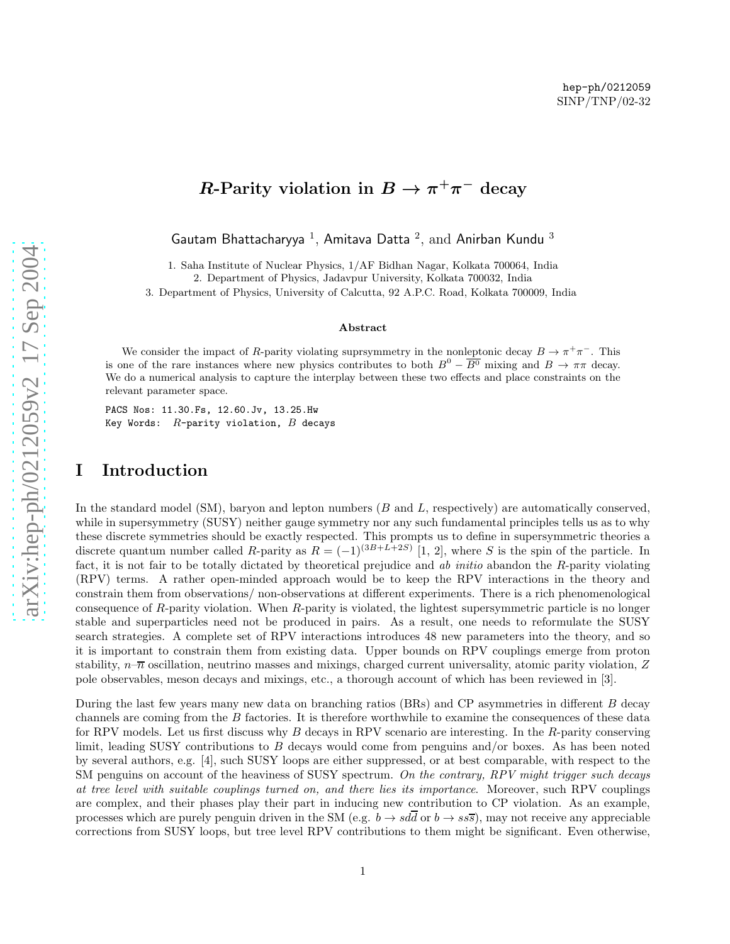# R-Parity violation in  $B \to \pi^+\pi^-$  decay

Gautam Bhattacharyya  $^1$ , Amitava Datta  $^2$ , and Anirban Kundu  $^3$ 

1. Saha Institute of Nuclear Physics, 1/AF Bidhan Nagar, Kolkata 700064, India

2. Department of Physics, Jadavpur University, Kolkata 700032, India

3. Department of Physics, University of Calcutta, 92 A.P.C. Road, Kolkata 700009, India

#### Abstract

We consider the impact of R-parity violating suprsymmetry in the nonleptonic decay  $B \to \pi^+\pi^-$ . This is one of the rare instances where new physics contributes to both  $B^0 - \overline{B^0}$  mixing and  $B \to \pi\pi$  decay. We do a numerical analysis to capture the interplay between these two effects and place constraints on the relevant parameter space.

PACS Nos: 11.30.Fs, 12.60.Jv, 13.25.Hw Key Words:  $R$ -parity violation,  $B$  decays

# I Introduction

In the standard model  $(SM)$ , baryon and lepton numbers  $(B \text{ and } L)$ , respectively) are automatically conserved, while in supersymmetry (SUSY) neither gauge symmetry nor any such fundamental principles tells us as to why these discrete symmetries should be exactly respected. This prompts us to define in supersymmetric theories a discrete quantum number called R-parity as  $R = (-1)^{(3B+L+2S)}$  [1, 2], where S is the spin of the particle. In fact, it is not fair to be totally dictated by theoretical prejudice and ab initio abandon the R-parity violating (RPV) terms. A rather open-minded approach would be to keep the RPV interactions in the theory and constrain them from observations/ non-observations at different experiments. There is a rich phenomenological consequence of R-parity violation. When R-parity is violated, the lightest supersymmetric particle is no longer stable and superparticles need not be produced in pairs. As a result, one needs to reformulate the SUSY search strategies. A complete set of RPV interactions introduces 48 new parameters into the theory, and so it is important to constrain them from existing data. Upper bounds on RPV couplings emerge from proton stability,  $n-\overline{n}$  oscillation, neutrino masses and mixings, charged current universality, atomic parity violation, Z pole observables, meson decays and mixings, etc., a thorough account of which has been reviewed in [3].

During the last few years many new data on branching ratios (BRs) and CP asymmetries in different B decay channels are coming from the B factories. It is therefore worthwhile to examine the consequences of these data for RPV models. Let us first discuss why B decays in RPV scenario are interesting. In the R-parity conserving limit, leading SUSY contributions to B decays would come from penguins and/or boxes. As has been noted by several authors, e.g. [4], such SUSY loops are either suppressed, or at best comparable, with respect to the SM penguins on account of the heaviness of SUSY spectrum. On the contrary, RPV might trigger such decays at tree level with suitable couplings turned on, and there lies its importance. Moreover, such RPV couplings are complex, and their phases play their part in inducing new contribution to CP violation. As an example, processes which are purely penguin driven in the SM (e.g.  $b \to sdd$  or  $b \to ss\bar{s}$ ), may not receive any appreciable corrections from SUSY loops, but tree level RPV contributions to them might be significant. Even otherwise,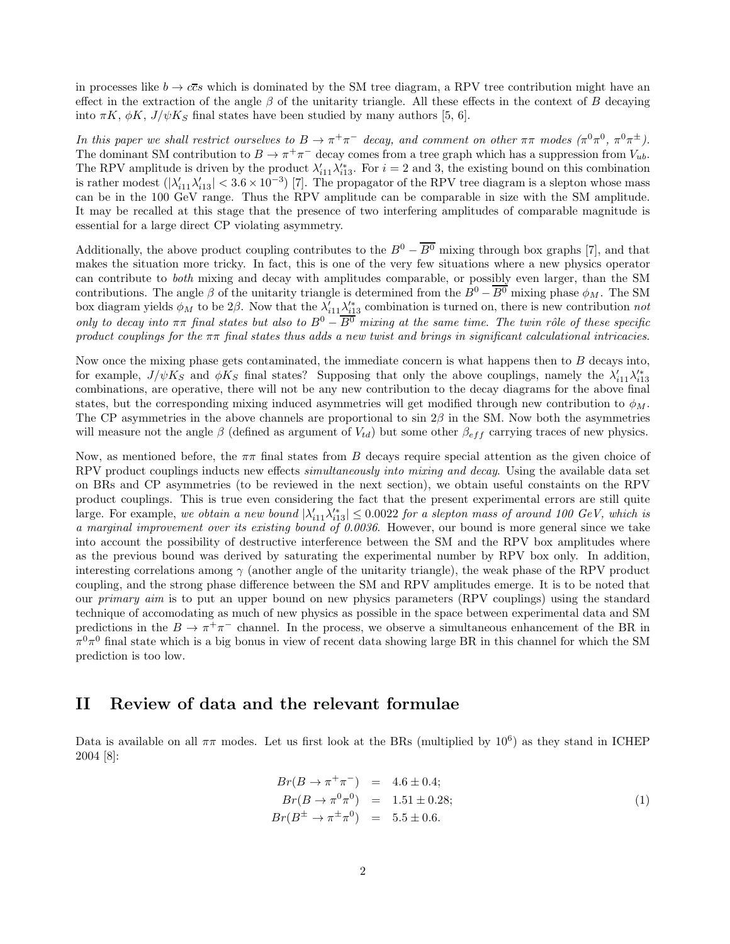in processes like  $b \to c\bar{c}s$  which is dominated by the SM tree diagram, a RPV tree contribution might have an effect in the extraction of the angle  $\beta$  of the unitarity triangle. All these effects in the context of B decaying into  $\pi K$ ,  $\phi K$ ,  $J/\psi K_S$  final states have been studied by many authors [5, 6].

In this paper we shall restrict ourselves to  $B \to \pi^+ \pi^-$  decay, and comment on other  $\pi\pi$  modes  $(\pi^0 \pi^0, \pi^0 \pi^{\pm})$ . The dominant SM contribution to  $B \to \pi^+\pi^-$  decay comes from a tree graph which has a suppression from  $V_{ub}$ . The RPV amplitude is driven by the product  $\lambda'_{i11}\lambda'^*_{i13}$ . For  $i=2$  and 3, the existing bound on this combination is rather modest  $(|\lambda'_{i11}\lambda'_{i13}| < 3.6 \times 10^{-3})$  [7]. The propagator of the RPV tree diagram is a slepton whose mass can be in the 100 GeV range. Thus the RPV amplitude can be comparable in size with the SM amplitude. It may be recalled at this stage that the presence of two interfering amplitudes of comparable magnitude is essential for a large direct CP violating asymmetry.

Additionally, the above product coupling contributes to the  $B^0 - \overline{B^0}$  mixing through box graphs [7], and that makes the situation more tricky. In fact, this is one of the very few situations where a new physics operator can contribute to both mixing and decay with amplitudes comparable, or possibly even larger, than the SM contributions. The angle  $\beta$  of the unitarity triangle is determined from the  $B^0 - \overline{B^0}$  mixing phase  $\phi_M$ . The SM box diagram yields  $\phi_M$  to be 2 $\beta$ . Now that the  $\lambda'_{i11}\lambda'^*_{i13}$  combination is turned on, there is new contribution not only to decay into  $\pi\pi$  final states but also to  $B^0 - \overline{B^0}$  mixing at the same time. The twin rôle of these specific product couplings for the  $\pi\pi$  final states thus adds a new twist and brings in significant calculational intricacies.

Now once the mixing phase gets contaminated, the immediate concern is what happens then to B decays into, for example,  $J/\psi K_S$  and  $\phi K_S$  final states? Supposing that only the above couplings, namely the  $\lambda'_{i11}\lambda'^*_{i13}$ combinations, are operative, there will not be any new contribution to the decay diagrams for the above final states, but the corresponding mixing induced asymmetries will get modified through new contribution to  $\phi_M$ . The CP asymmetries in the above channels are proportional to sin  $2\beta$  in the SM. Now both the asymmetries will measure not the angle  $\beta$  (defined as argument of  $V_{td}$ ) but some other  $\beta_{eff}$  carrying traces of new physics.

Now, as mentioned before, the  $\pi\pi$  final states from B decays require special attention as the given choice of RPV product couplings inducts new effects *simultaneously into mixing and decay*. Using the available data set on BRs and CP asymmetries (to be reviewed in the next section), we obtain useful constaints on the RPV product couplings. This is true even considering the fact that the present experimental errors are still quite large. For example, we obtain a new bound  $|\lambda'_{i11}\lambda'^*_{i13}| \leq 0.0022$  for a slepton mass of around 100 GeV, which is a marginal improvement over its existing bound of 0.0036. However, our bound is more general since we take into account the possibility of destructive interference between the SM and the RPV box amplitudes where as the previous bound was derived by saturating the experimental number by RPV box only. In addition, interesting correlations among  $\gamma$  (another angle of the unitarity triangle), the weak phase of the RPV product coupling, and the strong phase difference between the SM and RPV amplitudes emerge. It is to be noted that our primary aim is to put an upper bound on new physics parameters (RPV couplings) using the standard technique of accomodating as much of new physics as possible in the space between experimental data and SM predictions in the  $B \to \pi^+\pi^-$  channel. In the process, we observe a simultaneous enhancement of the BR in  $\pi^0\pi^0$  final state which is a big bonus in view of recent data showing large BR in this channel for which the SM prediction is too low.

### II Review of data and the relevant formulae

Data is available on all  $\pi\pi$  modes. Let us first look at the BRs (multiplied by  $10^6$ ) as they stand in ICHEP 2004 [8]:

$$
Br(B \to \pi^+\pi^-) = 4.6 \pm 0.4; \nBr(B \to \pi^0\pi^0) = 1.51 \pm 0.28; \nBr(B^{\pm} \to \pi^{\pm}\pi^0) = 5.5 \pm 0.6.
$$
\n(1)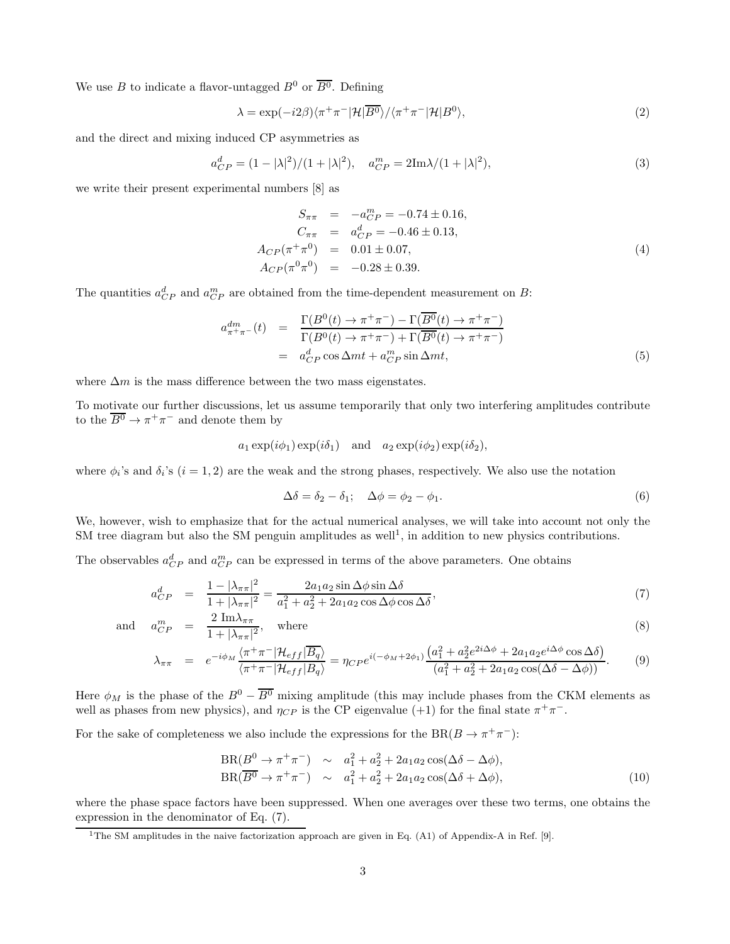We use B to indicate a flavor-untagged  $B^0$  or  $\overline{B^0}$ . Defining

$$
\lambda = \exp(-i2\beta)\langle \pi^+\pi^-|\mathcal{H}|\overline{B^0}\rangle/\langle \pi^+\pi^-|\mathcal{H}|B^0\rangle,\tag{2}
$$

and the direct and mixing induced CP asymmetries as

$$
a_{CP}^d = (1 - |\lambda|^2)/(1 + |\lambda|^2), \quad a_{CP}^m = 2\text{Im}\lambda/(1 + |\lambda|^2),\tag{3}
$$

we write their present experimental numbers [8] as

$$
S_{\pi\pi} = -a_{CP}^{m} = -0.74 \pm 0.16,
$$
  
\n
$$
C_{\pi\pi} = a_{CP}^{d} = -0.46 \pm 0.13,
$$
  
\n
$$
A_{CP}(\pi^{+}\pi^{0}) = 0.01 \pm 0.07,
$$
  
\n
$$
A_{CP}(\pi^{0}\pi^{0}) = -0.28 \pm 0.39.
$$
\n(4)

The quantities  $a_{CP}^d$  and  $a_{CP}^m$  are obtained from the time-dependent measurement on B:

$$
a_{\pi^+\pi^-}^{dm}(t) = \frac{\Gamma(B^0(t) \to \pi^+\pi^-) - \Gamma(\overline{B^0}(t) \to \pi^+\pi^-)}{\Gamma(B^0(t) \to \pi^+\pi^-) + \Gamma(\overline{B^0}(t) \to \pi^+\pi^-)}
$$
  
= 
$$
a_{CP}^d \cos \Delta mt + a_{CP}^m \sin \Delta mt,
$$
 (5)

where  $\Delta m$  is the mass difference between the two mass eigenstates.

To motivate our further discussions, let us assume temporarily that only two interfering amplitudes contribute to the  $\overline{B^0} \to \pi^+ \pi^-$  and denote them by

$$
a_1 \exp(i\phi_1) \exp(i\delta_1)
$$
 and  $a_2 \exp(i\phi_2) \exp(i\delta_2)$ ,

where  $\phi_i$ 's and  $\delta_i$ 's  $(i = 1, 2)$  are the weak and the strong phases, respectively. We also use the notation

$$
\Delta \delta = \delta_2 - \delta_1; \quad \Delta \phi = \phi_2 - \phi_1. \tag{6}
$$

We, however, wish to emphasize that for the actual numerical analyses, we will take into account not only the SM tree diagram but also the SM penguin amplitudes as well<sup>1</sup>, in addition to new physics contributions.

The observables  $a_{CP}^d$  and  $a_{CP}^m$  can be expressed in terms of the above parameters. One obtains

$$
a_{CP}^d = \frac{1 - |\lambda_{\pi\pi}|^2}{1 + |\lambda_{\pi\pi}|^2} = \frac{2a_1a_2\sin\Delta\phi\sin\Delta\delta}{a_1^2 + a_2^2 + 2a_1a_2\cos\Delta\phi\cos\Delta\delta},\tag{7}
$$

and 
$$
a_{CP}^m = \frac{2 \operatorname{Im} \lambda_{\pi \pi}}{1 + |\lambda_{\pi \pi}|^2}
$$
, where (8)

$$
\lambda_{\pi\pi} = e^{-i\phi_M} \frac{\langle \pi^+\pi^-|\mathcal{H}_{eff}|\overline{B_q}\rangle}{\langle \pi^+\pi^-|\mathcal{H}_{eff}|B_q\rangle} = \eta_{CP}e^{i(-\phi_M+2\phi_1)} \frac{\left(a_1^2 + a_2^2e^{2i\Delta\phi} + 2a_1a_2e^{i\Delta\phi}\cos\Delta\delta\right)}{\left(a_1^2 + a_2^2 + 2a_1a_2\cos(\Delta\delta - \Delta\phi)\right)}.
$$
(9)

Here  $\phi_M$  is the phase of the  $B^0 - \overline{B^0}$  mixing amplitude (this may include phases from the CKM elements as well as phases from new physics), and  $\eta_{CP}$  is the CP eigenvalue (+1) for the final state  $\pi^+\pi^-$ .

For the sake of completeness we also include the expressions for the  $BR(B \to \pi^+ \pi^-)$ :

$$
BR(B^0 \to \pi^+ \pi^-) \sim a_1^2 + a_2^2 + 2a_1 a_2 \cos(\Delta \delta - \Delta \phi),
$$
  
\n
$$
BR(\overline{B^0} \to \pi^+ \pi^-) \sim a_1^2 + a_2^2 + 2a_1 a_2 \cos(\Delta \delta + \Delta \phi),
$$
\n(10)

where the phase space factors have been suppressed. When one averages over these two terms, one obtains the expression in the denominator of Eq. (7).

<sup>&</sup>lt;sup>1</sup>The SM amplitudes in the naive factorization approach are given in Eq.  $(A1)$  of Appendix-A in Ref. [9].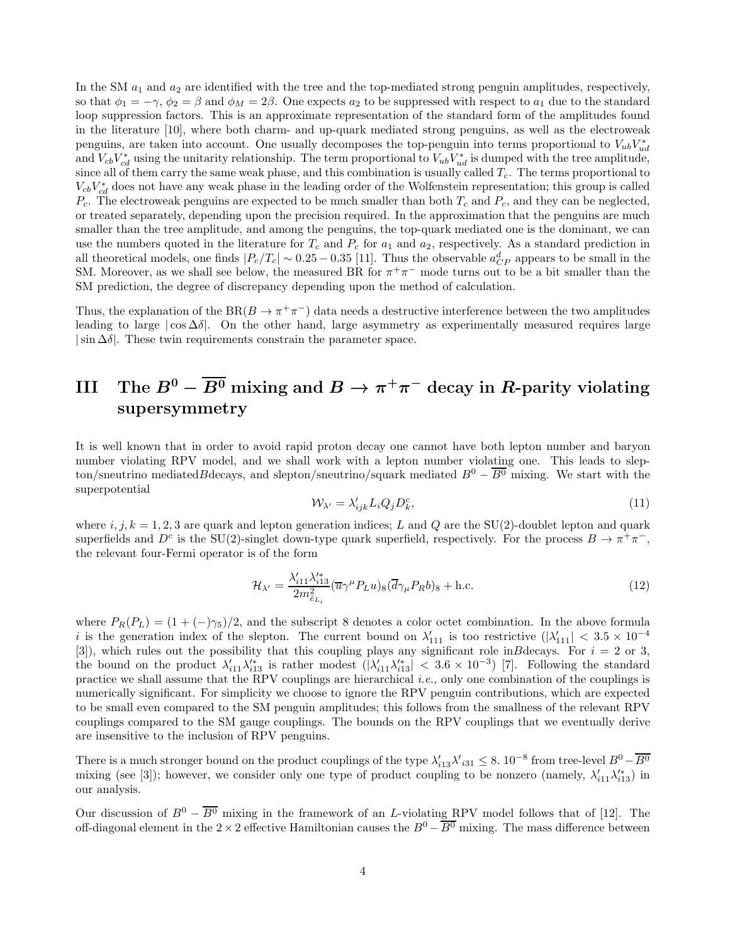In the SM  $a_1$  and  $a_2$  are identified with the tree and the top-mediated strong penguin amplitudes, respectively, so that  $\phi_1 = -\gamma$ ,  $\phi_2 = \beta$  and  $\phi_M = 2\beta$ . One expects  $a_2$  to be suppressed with respect to  $a_1$  due to the standard loop suppression factors. This is an approximate representation of the standard form of the amplitudes found in the literature [10], where both charm- and up-quark mediated strong penguins, as well as the electroweak penguins, are taken into account. One usually decomposes the top-penguin into terms proportional to  $V_{ub}V_{ud}^*$ and  $V_{cb}V_{cd}^*$  using the unitarity relationship. The term proportional to  $V_{ub}V_{ud}^*$  is dumped with the tree amplitude, since all of them carry the same weak phase, and this combination is usually called  $T_c$ . The terms proportional to  $V_{cb}V_{cd}^*$  does not have any weak phase in the leading order of the Wolfenstein representation; this group is called  $P_c$ . The electroweak penguins are expected to be much smaller than both  $T_c$  and  $P_c$ , and they can be neglected, or treated separately, depending upon the precision required. In the approximation that the penguins are much smaller than the tree amplitude, and among the penguins, the top-quark mediated one is the dominant, we can use the numbers quoted in the literature for  $T_c$  and  $P_c$  for  $a_1$  and  $a_2$ , respectively. As a standard prediction in all theoretical models, one finds  $|P_c/T_c| \sim 0.25 - 0.35$  [11]. Thus the observable  $a_{CP}^d$  appears to be small in the SM. Moreover, as we shall see below, the measured BR for  $\pi^+\pi^-$  mode turns out to be a bit smaller than the SM prediction, the degree of discrepancy depending upon the method of calculation.

Thus, the explanation of the BR( $B \to \pi^+\pi^-$ ) data needs a destructive interference between the two amplitudes leading to large  $|\cos \Delta \delta|$ . On the other hand, large asymmetry as experimentally measured requires large  $|\sin \Delta \delta|$ . These twin requirements constrain the parameter space.

# ${\rm III}\quad \text{The }B^0-\overline{B^0}\text{ mixing and }B\to \pi^+\pi^- \text{ decay in }R\text{-parity violating}$ supersymmetry

It is well known that in order to avoid rapid proton decay one cannot have both lepton number and baryon number violating RPV model, and we shall work with a lepton number violating one. This leads to slepton/sneutrino mediatedBdecays, and slepton/sneutrino/squark mediated  $B^0 - \overline{B^0}$  mixing. We start with the superpotential

$$
\mathcal{W}_{\lambda'} = \lambda'_{ijk} L_i Q_j D_k^c,\tag{11}
$$

where  $i, j, k = 1, 2, 3$  are quark and lepton generation indices; L and Q are the SU(2)-doublet lepton and quark superfields and  $D^c$  is the SU(2)-singlet down-type quark superfield, respectively. For the process  $B \to \pi^+\pi^-$ , the relevant four-Fermi operator is of the form

$$
\mathcal{H}_{\lambda'} = \frac{\lambda'_{i11} \lambda'^*_{i13}}{2m_{\tilde{e}_{L_i}}^2} (\overline{u}\gamma^\mu P_L u)_{8} (\overline{d}\gamma_\mu P_R b)_{8} + \text{h.c.}
$$
\n(12)

where  $P_R(P_L) = (1 + (-)\gamma_5)/2$ , and the subscript 8 denotes a color octet combination. In the above formula i is the generation index of the slepton. The current bound on  $\lambda'_{111}$  is too restrictive  $(|\lambda'_{111}| < 3.5 \times 10^{-4}$ [3]), which rules out the possibility that this coupling plays any significant role inBdecays. For  $i = 2$  or 3, the bound on the product  $\lambda'_{i11}\lambda'^*_{i13}$  is rather modest  $(|\lambda'_{i11}\lambda'^*_{i13}| < 3.6 \times 10^{-3})$  [7]. Following the standard practice we shall assume that the RPV couplings are hierarchical *i.e.*, only one combination of the couplings is numerically significant. For simplicity we choose to ignore the RPV penguin contributions, which are expected to be small even compared to the SM penguin amplitudes; this follows from the smallness of the relevant RPV couplings compared to the SM gauge couplings. The bounds on the RPV couplings that we eventually derive are insensitive to the inclusion of RPV penguins.

There is a much stronger bound on the product couplings of the type  $\lambda'_{i13}\lambda'_{i31} \leq 8.10^{-8}$  from tree-level  $B^0 - \overline{B^0}$ mixing (see [3]); however, we consider only one type of product coupling to be nonzero (namely,  $\lambda'_{i11}\lambda'^*_{i13}$ ) in our analysis.

Our discussion of  $B^0 - \overline{B^0}$  mixing in the framework of an L-violating RPV model follows that of [12]. The off-diagonal element in the 2 × 2 effective Hamiltonian causes the  $B^0 - \overline{B^0}$  mixing. The mass difference between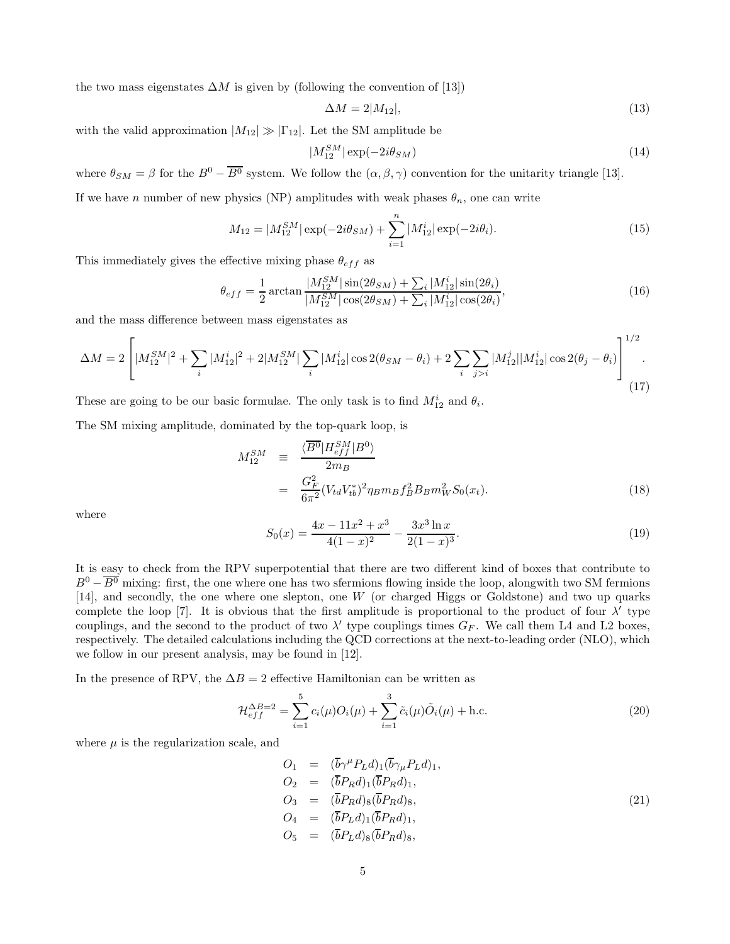the two mass eigenstates  $\Delta M$  is given by (following the convention of [13])

$$
\Delta M = 2|M_{12}|,\tag{13}
$$

with the valid approximation  $|M_{12}| \gg |\Gamma_{12}|$ . Let the SM amplitude be

$$
|M_{12}^{SM}| \exp(-2i\theta_{SM}) \tag{14}
$$

where  $\theta_{SM} = \beta$  for the  $B^0 - \overline{B^0}$  system. We follow the  $(\alpha, \beta, \gamma)$  convention for the unitarity triangle [13].

If we have n number of new physics (NP) amplitudes with weak phases  $\theta_n$ , one can write

$$
M_{12} = |M_{12}^{SM}| \exp(-2i\theta_{SM}) + \sum_{i=1}^{n} |M_{12}^{i}| \exp(-2i\theta_{i}).
$$
\n(15)

This immediately gives the effective mixing phase  $\theta_{eff}$  as

$$
\theta_{eff} = \frac{1}{2} \arctan \frac{|M_{12}^{SM}| \sin(2\theta_{SM}) + \sum_{i} |M_{12}^{i}| \sin(2\theta_{i})}{|M_{12}^{SM}| \cos(2\theta_{SM}) + \sum_{i} |M_{12}^{i}| \cos(2\theta_{i})},
$$
(16)

and the mass difference between mass eigenstates as

$$
\Delta M = 2 \left[ |M_{12}^{SM}|^2 + \sum_{i} |M_{12}^{i}|^2 + 2|M_{12}^{SM}| \sum_{i} |M_{12}^{i}| \cos 2(\theta_{SM} - \theta_{i}) + 2 \sum_{i} \sum_{j>i} |M_{12}^{j}| |M_{12}^{i}| \cos 2(\theta_{j} - \theta_{i}) \right]^{1/2}.
$$
\n(17)

These are going to be our basic formulae. The only task is to find  $M_{12}^i$  and  $\theta_i$ .

The SM mixing amplitude, dominated by the top-quark loop, is

$$
M_{12}^{SM} \equiv \frac{\langle \overline{B^0} | H_{eff}^{SM} | B^0 \rangle}{2m_B} = \frac{G_F^2}{6\pi^2} (V_{td} V_{tb}^*)^2 \eta_B m_B f_B^2 B_B m_W^2 S_0(x_t).
$$
 (18)

where

$$
S_0(x) = \frac{4x - 11x^2 + x^3}{4(1 - x)^2} - \frac{3x^3 \ln x}{2(1 - x)^3}.
$$
\n(19)

It is easy to check from the RPV superpotential that there are two different kind of boxes that contribute to  $B^0 - \overline{B^0}$  mixing: first, the one where one has two sfermions flowing inside the loop, alongwith two SM fermions [14], and secondly, the one where one slepton, one W (or charged Higgs or Goldstone) and two up quarks complete the loop [7]. It is obvious that the first amplitude is proportional to the product of four  $\lambda'$  type couplings, and the second to the product of two  $\lambda'$  type couplings times  $G_F$ . We call them L4 and L2 boxes, respectively. The detailed calculations including the QCD corrections at the next-to-leading order (NLO), which we follow in our present analysis, may be found in [12].

In the presence of RPV, the  $\Delta B = 2$  effective Hamiltonian can be written as

$$
\mathcal{H}_{eff}^{\Delta B=2} = \sum_{i=1}^{5} c_i(\mu) O_i(\mu) + \sum_{i=1}^{3} \tilde{c}_i(\mu) \tilde{O}_i(\mu) + \text{h.c.}
$$
\n(20)

where  $\mu$  is the regularization scale, and

$$
O_1 = (\overline{b}\gamma^{\mu} P_L d)_{1} (\overline{b}\gamma_{\mu} P_L d)_{1},
$$
  
\n
$$
O_2 = (\overline{b} P_R d)_{1} (\overline{b} P_R d)_{1},
$$
  
\n
$$
O_3 = (\overline{b} P_R d)_{8} (\overline{b} P_R d)_{8},
$$
  
\n
$$
O_4 = (\overline{b} P_L d)_{1} (\overline{b} P_R d)_{1},
$$
  
\n
$$
O_5 = (\overline{b} P_L d)_{8} (\overline{b} P_R d)_{8},
$$
  
\n(21)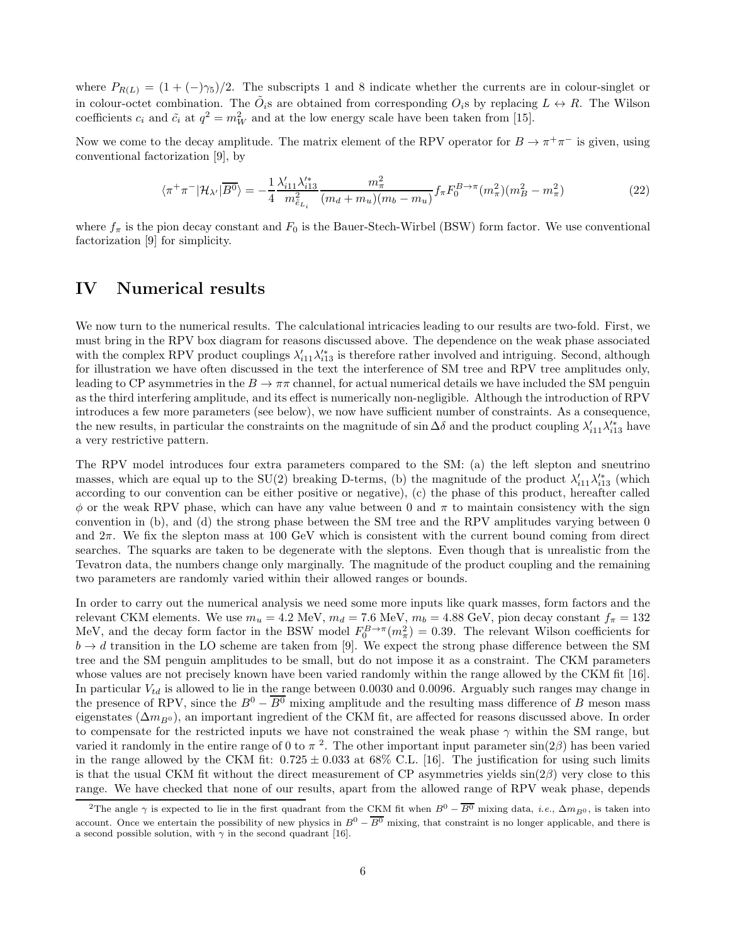where  $P_{R(L)} = (1 + (-)\gamma_5)/2$ . The subscripts 1 and 8 indicate whether the currents are in colour-singlet or in colour-octet combination. The  $\tilde{O}_i$ s are obtained from corresponding  $O_i$ s by replacing  $L \leftrightarrow R$ . The Wilson coefficients  $c_i$  and  $\tilde{c}_i$  at  $q^2 = m_W^2$  and at the low energy scale have been taken from [15].

Now we come to the decay amplitude. The matrix element of the RPV operator for  $B \to \pi^+\pi^-$  is given, using conventional factorization [9], by

$$
\langle \pi^+ \pi^- | \mathcal{H}_{\lambda'} | \overline{B^0} \rangle = -\frac{1}{4} \frac{\lambda'_{i11} \lambda'^*_{i13}}{m_{\tilde{e}_{L_i}}^2} \frac{m_{\pi}^2}{(m_d + m_u)(m_b - m_u)} f_{\pi} F_0^{B \to \pi} (m_{\pi}^2) (m_B^2 - m_{\pi}^2)
$$
(22)

where  $f_{\pi}$  is the pion decay constant and  $F_0$  is the Bauer-Stech-Wirbel (BSW) form factor. We use conventional factorization [9] for simplicity.

### IV Numerical results

We now turn to the numerical results. The calculational intricacies leading to our results are two-fold. First, we must bring in the RPV box diagram for reasons discussed above. The dependence on the weak phase associated with the complex RPV product couplings  $\lambda'_{i11}\lambda'^*_{i13}$  is therefore rather involved and intriguing. Second, although for illustration we have often discussed in the text the interference of SM tree and RPV tree amplitudes only, leading to CP asymmetries in the  $B \to \pi\pi$  channel, for actual numerical details we have included the SM penguin as the third interfering amplitude, and its effect is numerically non-negligible. Although the introduction of RPV introduces a few more parameters (see below), we now have sufficient number of constraints. As a consequence, the new results, in particular the constraints on the magnitude of sin  $\Delta\delta$  and the product coupling  $\lambda'_{i11}\lambda'^*_{i13}$  have a very restrictive pattern.

The RPV model introduces four extra parameters compared to the SM: (a) the left slepton and sneutrino masses, which are equal up to the SU(2) breaking D-terms, (b) the magnitude of the product  $\lambda'_{i11}\lambda'^*_{i13}$  (which according to our convention can be either positive or negative), (c) the phase of this product, hereafter called  $\phi$  or the weak RPV phase, which can have any value between 0 and  $\pi$  to maintain consistency with the sign convention in (b), and (d) the strong phase between the SM tree and the RPV amplitudes varying between 0 and  $2\pi$ . We fix the slepton mass at 100 GeV which is consistent with the current bound coming from direct searches. The squarks are taken to be degenerate with the sleptons. Even though that is unrealistic from the Tevatron data, the numbers change only marginally. The magnitude of the product coupling and the remaining two parameters are randomly varied within their allowed ranges or bounds.

In order to carry out the numerical analysis we need some more inputs like quark masses, form factors and the relevant CKM elements. We use  $m_u = 4.2$  MeV,  $m_d = 7.6$  MeV,  $m_b = 4.88$  GeV, pion decay constant  $f_{\pi} = 132$ MeV, and the decay form factor in the BSW model  $F_0^{B\to\pi}(m_\pi^2) = 0.39$ . The relevant Wilson coefficients for  $b \to d$  transition in the LO scheme are taken from [9]. We expect the strong phase difference between the SM tree and the SM penguin amplitudes to be small, but do not impose it as a constraint. The CKM parameters whose values are not precisely known have been varied randomly within the range allowed by the CKM fit [16]. In particular  $V_{td}$  is allowed to lie in the range between 0.0030 and 0.0096. Arguably such ranges may change in the presence of RPV, since the  $B^0 - \overline{B^0}$  mixing amplitude and the resulting mass difference of B meson mass eigenstates ( $\Delta m_{B0}$ ), an important ingredient of the CKM fit, are affected for reasons discussed above. In order to compensate for the restricted inputs we have not constrained the weak phase  $\gamma$  within the SM range, but varied it randomly in the entire range of 0 to  $\pi$  <sup>2</sup>. The other important input parameter  $\sin(2\beta)$  has been varied in the range allowed by the CKM fit:  $0.725 \pm 0.033$  at 68% C.L. [16]. The justification for using such limits is that the usual CKM fit without the direct measurement of CP asymmetries yields  $sin(2\beta)$  very close to this range. We have checked that none of our results, apart from the allowed range of RPV weak phase, depends

<sup>&</sup>lt;sup>2</sup>The angle  $\gamma$  is expected to lie in the first quadrant from the CKM fit when  $B^0 - \overline{B^0}$  mixing data, *i.e.*,  $\Delta m_{B0}$ , is taken into account. Once we entertain the possibility of new physics in  $B^0 - \overline{B^0}$  mixing, that constraint is no longer applicable, and there is a second possible solution, with  $\gamma$  in the second quadrant [16].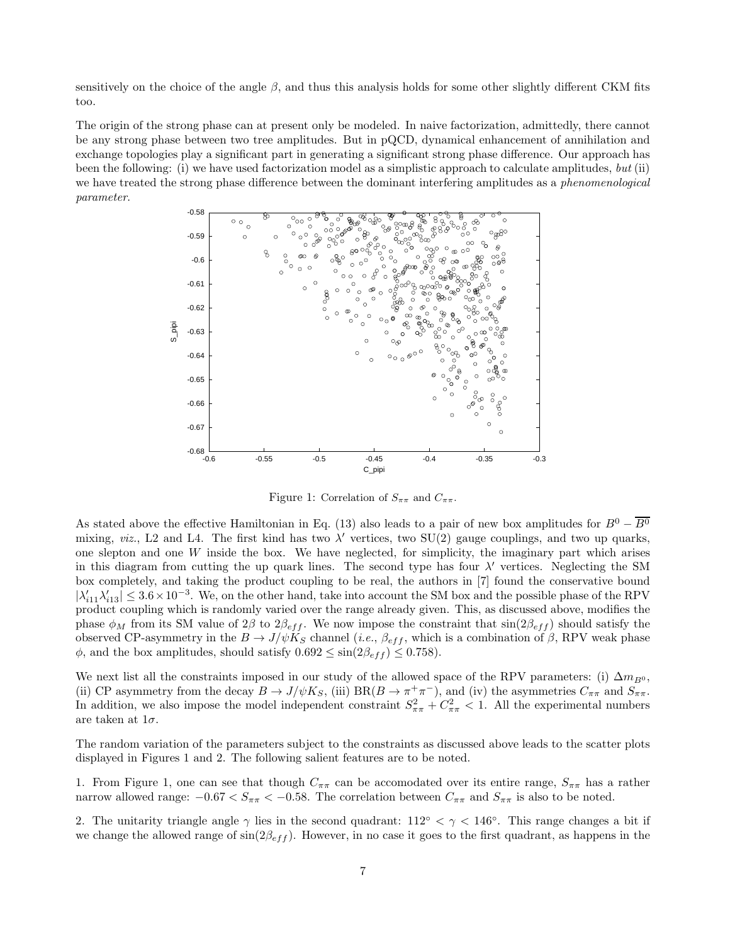sensitively on the choice of the angle  $\beta$ , and thus this analysis holds for some other slightly different CKM fits too.

The origin of the strong phase can at present only be modeled. In naive factorization, admittedly, there cannot be any strong phase between two tree amplitudes. But in pQCD, dynamical enhancement of annihilation and exchange topologies play a significant part in generating a significant strong phase difference. Our approach has been the following: (i) we have used factorization model as a simplistic approach to calculate amplitudes, but (ii) we have treated the strong phase difference between the dominant interfering amplitudes as a *phenomenological* parameter.



Figure 1: Correlation of  $S_{\pi\pi}$  and  $C_{\pi\pi}$ .

As stated above the effective Hamiltonian in Eq. (13) also leads to a pair of new box amplitudes for  $B^0 - \overline{B^0}$ mixing, viz., L2 and L4. The first kind has two  $\lambda'$  vertices, two SU(2) gauge couplings, and two up quarks, one slepton and one W inside the box. We have neglected, for simplicity, the imaginary part which arises in this diagram from cutting the up quark lines. The second type has four  $\lambda'$  vertices. Neglecting the SM box completely, and taking the product coupling to be real, the authors in [7] found the conservative bound  $|\lambda'_{i11}\lambda'_{i13}| \leq 3.6\times10^{-3}$ . We, on the other hand, take into account the SM box and the possible phase of the RPV product coupling which is randomly varied over the range already given. This, as discussed above, modifies the phase  $\phi_M$  from its SM value of 2β to 2 $\beta_{eff}$ . We now impose the constraint that  $\sin(2\beta_{eff})$  should satisfy the observed CP-asymmetry in the  $B \to J/\psi K_S$  channel (*i.e.*,  $\beta_{eff}$ , which is a combination of  $\beta$ , RPV weak phase  $\phi$ , and the box amplitudes, should satisfy  $0.692 \le \sin(2\beta_{eff}) \le 0.758$ .

We next list all the constraints imposed in our study of the allowed space of the RPV parameters: (i)  $\Delta m_{B^0}$ , (ii) CP asymmetry from the decay  $B \to J/\psi K_S$ , (iii)  $BR(B \to \pi^+ \pi^-)$ , and (iv) the asymmetries  $C_{\pi\pi}$  and  $S_{\pi\pi}$ . In addition, we also impose the model independent constraint  $S_{\pi\pi}^2 + C_{\pi\pi}^2 < 1$ . All the experimental numbers are taken at  $1\sigma$ .

The random variation of the parameters subject to the constraints as discussed above leads to the scatter plots displayed in Figures 1 and 2. The following salient features are to be noted.

1. From Figure 1, one can see that though  $C_{\pi\pi}$  can be accomodated over its entire range,  $S_{\pi\pi}$  has a rather narrow allowed range:  $-0.67 < S_{\pi\pi} < -0.58$ . The correlation between  $C_{\pi\pi}$  and  $S_{\pi\pi}$  is also to be noted.

2. The unitarity triangle angle  $\gamma$  lies in the second quadrant: 112<sup>°</sup>  $\lt \gamma \lt 146$ <sup>°</sup>. This range changes a bit if we change the allowed range of  $\sin(2\beta_{eff})$ . However, in no case it goes to the first quadrant, as happens in the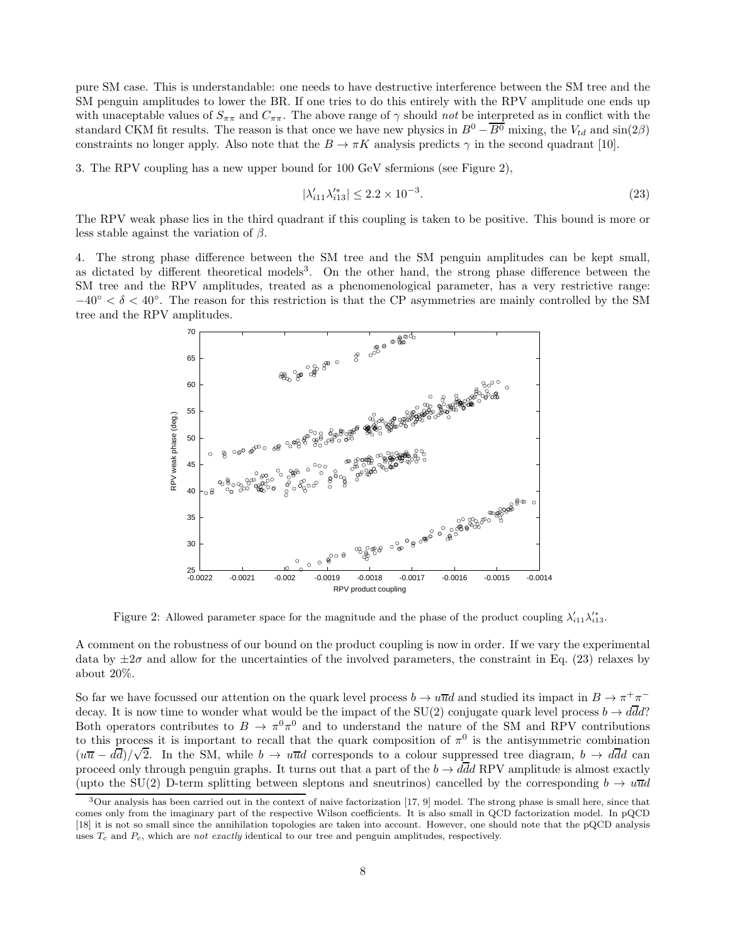pure SM case. This is understandable: one needs to have destructive interference between the SM tree and the SM penguin amplitudes to lower the BR. If one tries to do this entirely with the RPV amplitude one ends up with unaceptable values of  $S_{\pi\pi}$  and  $C_{\pi\pi}$ . The above range of  $\gamma$  should not be interpreted as in conflict with the standard CKM fit results. The reason is that once we have new physics in  $B^0 - \overline{B^0}$  mixing, the  $V_{td}$  and  $\sin(2\beta)$ constraints no longer apply. Also note that the  $B \to \pi K$  analysis predicts  $\gamma$  in the second quadrant [10].

3. The RPV coupling has a new upper bound for 100 GeV sfermions (see Figure 2),

$$
|\lambda'_{i11}\lambda'^*_{i13}| \le 2.2 \times 10^{-3}.\tag{23}
$$

The RPV weak phase lies in the third quadrant if this coupling is taken to be positive. This bound is more or less stable against the variation of  $\beta$ .

4. The strong phase difference between the SM tree and the SM penguin amplitudes can be kept small, as dictated by different theoretical models<sup>3</sup>. On the other hand, the strong phase difference between the SM tree and the RPV amplitudes, treated as a phenomenological parameter, has a very restrictive range:  $-40° < \delta < 40°$ . The reason for this restriction is that the CP asymmetries are mainly controlled by the SM tree and the RPV amplitudes.



Figure 2: Allowed parameter space for the magnitude and the phase of the product coupling  $\lambda'_{i11}\lambda'^*_{i13}$ .

A comment on the robustness of our bound on the product coupling is now in order. If we vary the experimental data by  $\pm 2\sigma$  and allow for the uncertainties of the involved parameters, the constraint in Eq. (23) relaxes by about 20%.

So far we have focussed our attention on the quark level process  $b \to u\overline{u}d$  and studied its impact in  $B \to \pi^+\pi^$ decay. It is now time to wonder what would be the impact of the SU(2) conjugate quark level process  $b \to d\bar{d}d$ ? Both operators contributes to  $B \to \pi^0 \pi^0$  and to understand the nature of the SM and RPV contributions to this process it is important to recall that the quark composition of  $\pi^0$  is the antisymmetric combination  $(u\overline{u} - d\overline{d})/\sqrt{2}$ . In the SM, while  $b \to u\overline{u}d$  corresponds to a colour suppressed tree diagram,  $b \to d\overline{d}d$  can proceed only through penguin graphs. It turns out that a part of the  $b \to d\bar{d}d$  RPV amplitude is almost exactly (upto the SU(2) D-term splitting between sleptons and sneutrinos) cancelled by the corresponding  $b \to u\overline{u}d$ 

 $3$ Our analysis has been carried out in the context of naive factorization [17, 9] model. The strong phase is small here, since that comes only from the imaginary part of the respective Wilson coefficients. It is also small in QCD factorization model. In pQCD [18] it is not so small since the annihilation topologies are taken into account. However, one should note that the pQCD analysis uses  $T_c$  and  $P_c$ , which are not exactly identical to our tree and penguin amplitudes, respectively.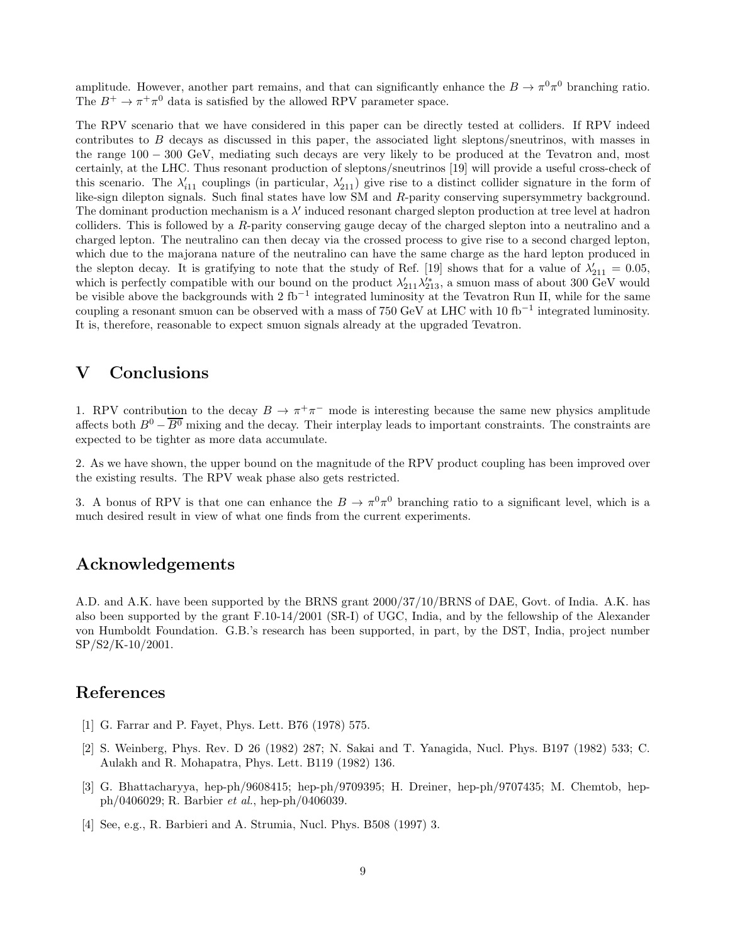amplitude. However, another part remains, and that can significantly enhance the  $B \to \pi^0 \pi^0$  branching ratio. The  $B^+ \to \pi^+ \pi^0$  data is satisfied by the allowed RPV parameter space.

The RPV scenario that we have considered in this paper can be directly tested at colliders. If RPV indeed contributes to B decays as discussed in this paper, the associated light sleptons/sneutrinos, with masses in the range 100 − 300 GeV, mediating such decays are very likely to be produced at the Tevatron and, most certainly, at the LHC. Thus resonant production of sleptons/sneutrinos [19] will provide a useful cross-check of this scenario. The  $\lambda'_{i11}$  couplings (in particular,  $\lambda'_{211}$ ) give rise to a distinct collider signature in the form of like-sign dilepton signals. Such final states have low SM and R-parity conserving supersymmetry background. The dominant production mechanism is a λ ′ induced resonant charged slepton production at tree level at hadron colliders. This is followed by a R-parity conserving gauge decay of the charged slepton into a neutralino and a charged lepton. The neutralino can then decay via the crossed process to give rise to a second charged lepton, which due to the majorana nature of the neutralino can have the same charge as the hard lepton produced in the slepton decay. It is gratifying to note that the study of Ref. [19] shows that for a value of  $\lambda'_{211} = 0.05$ , which is perfectly compatible with our bound on the product  $\lambda'_{211}\lambda'^*_{213}$ , a smuon mass of about 300 GeV would be visible above the backgrounds with 2 fb−<sup>1</sup> integrated luminosity at the Tevatron Run II, while for the same coupling a resonant smuon can be observed with a mass of 750 GeV at LHC with 10 fb<sup>-1</sup> integrated luminosity. It is, therefore, reasonable to expect smuon signals already at the upgraded Tevatron.

## V Conclusions

1. RPV contribution to the decay  $B \to \pi^+\pi^-$  mode is interesting because the same new physics amplitude affects both  $B^0 - \overline{B^0}$  mixing and the decay. Their interplay leads to important constraints. The constraints are expected to be tighter as more data accumulate.

2. As we have shown, the upper bound on the magnitude of the RPV product coupling has been improved over the existing results. The RPV weak phase also gets restricted.

3. A bonus of RPV is that one can enhance the  $B \to \pi^0 \pi^0$  branching ratio to a significant level, which is a much desired result in view of what one finds from the current experiments.

### Acknowledgements

A.D. and A.K. have been supported by the BRNS grant 2000/37/10/BRNS of DAE, Govt. of India. A.K. has also been supported by the grant F.10-14/2001 (SR-I) of UGC, India, and by the fellowship of the Alexander von Humboldt Foundation. G.B.'s research has been supported, in part, by the DST, India, project number SP/S2/K-10/2001.

### References

- [1] G. Farrar and P. Fayet, Phys. Lett. B76 (1978) 575.
- [2] S. Weinberg, Phys. Rev. D 26 (1982) 287; N. Sakai and T. Yanagida, Nucl. Phys. B197 (1982) 533; C. Aulakh and R. Mohapatra, Phys. Lett. B119 (1982) 136.
- [3] G. Bhattacharyya, hep-ph/9608415; hep-ph/9709395; H. Dreiner, hep-ph/9707435; M. Chemtob, hepph/0406029; R. Barbier et al., hep-ph/0406039.
- [4] See, e.g., R. Barbieri and A. Strumia, Nucl. Phys. B508 (1997) 3.